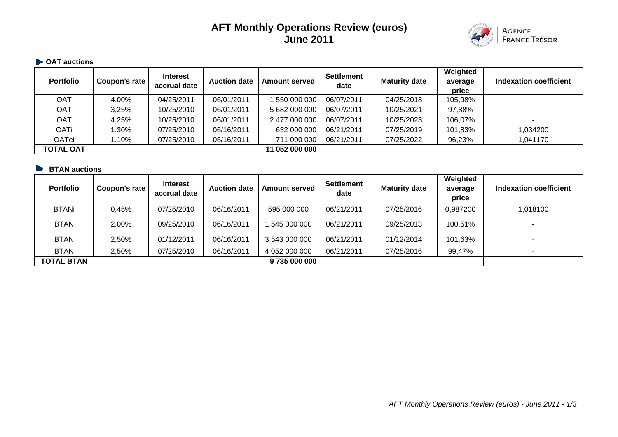# **AFT Monthly Operations Review (euros) June 2011**



#### **• OAT auctions**

| <b>Portfolio</b> | Coupon's rate | <b>Interest</b><br>accrual date | <b>Auction date</b> | <b>Amount served</b> | <b>Settlement</b><br>date | <b>Maturity date</b> | Weighted<br>average<br>price | Indexation coefficient |
|------------------|---------------|---------------------------------|---------------------|----------------------|---------------------------|----------------------|------------------------------|------------------------|
| OAT              | 4,00%         | 04/25/2011                      | 06/01/2011          | 550 000 000          | 06/07/2011                | 04/25/2018           | 105,98%                      | -                      |
| OAT              | 3,25%         | 10/25/2010                      | 06/01/2011          | 5 682 000 000        | 06/07/2011                | 10/25/2021           | 97,88%                       |                        |
| OAT              | 4,25%         | 10/25/2010                      | 06/01/2011          | 2 477 000 000        | 06/07/2011                | 10/25/2023           | 106,07%                      |                        |
| <b>OATi</b>      | 1,30%         | 07/25/2010                      | 06/16/2011          | 632 000 000          | 06/21/2011                | 07/25/2019           | 101,83%                      | 1,034200               |
| OATei            | 1,10%         | 07/25/2010                      | 06/16/2011          | 711 000 000          | 06/21/2011                | 07/25/2022           | 96,23%                       | 1,041170               |
| <b>TOTAL OAT</b> |               |                                 |                     | 11 052 000 000       |                           |                      |                              |                        |

### **BTAN auctions**

| <b>Portfolio</b>  | Coupon's rate | <b>Interest</b><br>accrual date | <b>Auction date</b> | <b>Amount served I</b> | <b>Settlement</b><br>date | <b>Maturity date</b> | Weighted<br>average<br>price | Indexation coefficient |
|-------------------|---------------|---------------------------------|---------------------|------------------------|---------------------------|----------------------|------------------------------|------------------------|
| <b>BTANi</b>      | 0,45%         | 07/25/2010                      | 06/16/2011          | 595 000 000            | 06/21/2011                | 07/25/2016           | 0,987200                     | 1,018100               |
| <b>BTAN</b>       | 2,00%         | 09/25/2010                      | 06/16/2011          | 545 000 000            | 06/21/2011                | 09/25/2013           | 100,51%                      | -                      |
| <b>BTAN</b>       | 2,50%         | 01/12/2011                      | 06/16/2011          | 3 543 000 000          | 06/21/2011                | 01/12/2014           | 101,63%                      |                        |
| <b>BTAN</b>       | 2,50%         | 07/25/2010                      | 06/16/2011          | 4 052 000 000          | 06/21/2011                | 07/25/2016           | 99,47%                       |                        |
| <b>TOTAL BTAN</b> |               |                                 |                     | 9 735 000 000          |                           |                      |                              |                        |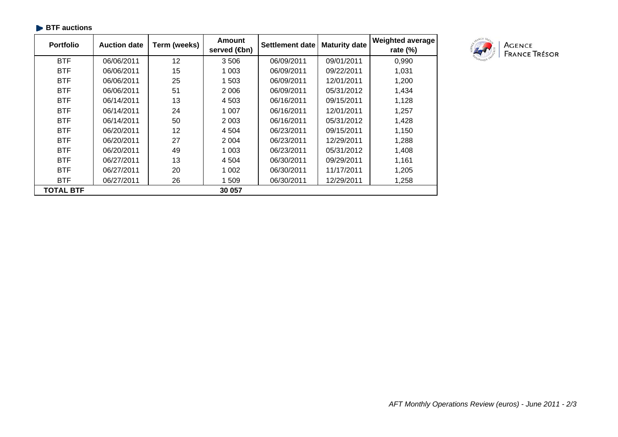| <b>Portfolio</b> | <b>Auction date</b> | Term (weeks)    | Amount<br>served ( <b>⊕</b> n) | Settlement date | <b>Maturity date</b> | <b>Weighted average</b><br>rate $(\%)$ |
|------------------|---------------------|-----------------|--------------------------------|-----------------|----------------------|----------------------------------------|
| <b>BTF</b>       | 06/06/2011          | 12              | 3506                           | 06/09/2011      | 09/01/2011           | 0,990                                  |
| <b>BTF</b>       | 06/06/2011          | 15              | 1 003                          | 06/09/2011      | 09/22/2011           | 1,031                                  |
| <b>BTF</b>       | 06/06/2011          | 25              | 1 503                          | 06/09/2011      | 12/01/2011           | 1,200                                  |
| <b>BTF</b>       | 06/06/2011          | 51              | 2 0 0 6                        | 06/09/2011      | 05/31/2012           | 1,434                                  |
| <b>BTF</b>       | 06/14/2011          | 13              | 4 5 0 3                        | 06/16/2011      | 09/15/2011           | 1,128                                  |
| <b>BTF</b>       | 06/14/2011          | 24              | 1 007                          | 06/16/2011      | 12/01/2011           | 1,257                                  |
| <b>BTF</b>       | 06/14/2011          | 50              | 2 0 0 3                        | 06/16/2011      | 05/31/2012           | 1,428                                  |
| <b>BTF</b>       | 06/20/2011          | 12 <sup>2</sup> | 4 504                          | 06/23/2011      | 09/15/2011           | 1,150                                  |
| <b>BTF</b>       | 06/20/2011          | 27              | 2 0 0 4                        | 06/23/2011      | 12/29/2011           | 1,288                                  |
| <b>BTF</b>       | 06/20/2011          | 49              | 1 0 0 3                        | 06/23/2011      | 05/31/2012           | 1,408                                  |
| <b>BTF</b>       | 06/27/2011          | 13              | 4 504                          | 06/30/2011      | 09/29/2011           | 1,161                                  |
| <b>BTF</b>       | 06/27/2011          | 20              | 1 0 0 2                        | 06/30/2011      | 11/17/2011           | 1,205                                  |
| <b>BTF</b>       | 06/27/2011          | 26              | 1 509                          | 06/30/2011      | 12/29/2011           | 1,258                                  |
| <b>TOTAL BTF</b> |                     |                 | 30 057                         |                 |                      |                                        |